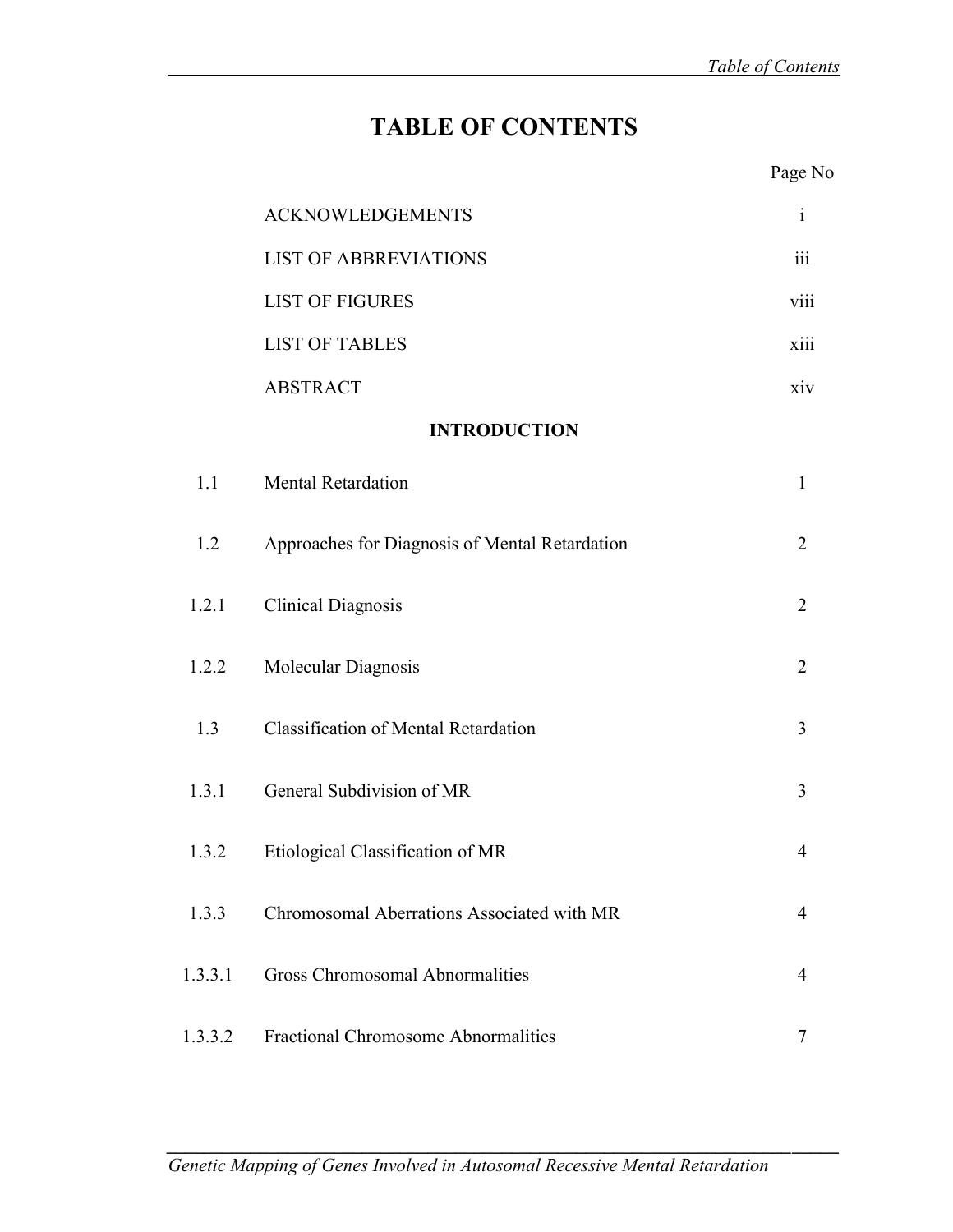Page No

## **TABLE OF CONTENTS**

|         | <b>ACKNOWLEDGEMENTS</b>                        | $\mathbf{i}$   |
|---------|------------------------------------------------|----------------|
|         | <b>LIST OF ABBREVIATIONS</b>                   | 111            |
|         | <b>LIST OF FIGURES</b>                         | viii           |
|         | <b>LIST OF TABLES</b>                          | xiii           |
|         | <b>ABSTRACT</b>                                | xiv            |
|         | <b>INTRODUCTION</b>                            |                |
| 1.1     | <b>Mental Retardation</b>                      | $\mathbf{1}$   |
| 1.2     | Approaches for Diagnosis of Mental Retardation | $\overline{2}$ |
| 1.2.1   | <b>Clinical Diagnosis</b>                      | $\overline{2}$ |
| 1.2.2   | Molecular Diagnosis                            | $\overline{2}$ |
| 1.3     | <b>Classification of Mental Retardation</b>    | 3              |
| 1.3.1   | General Subdivision of MR                      | 3              |
| 1.3.2   | Etiological Classification of MR               | 4              |
| 1.3.3   | Chromosomal Aberrations Associated with MR     | 4              |
| 1.3.3.1 | <b>Gross Chromosomal Abnormalities</b>         | 4              |
| 1.3.3.2 | <b>Fractional Chromosome Abnormalities</b>     | 7              |

*\_\_\_\_\_\_\_\_\_\_\_\_\_\_\_\_\_\_\_\_\_\_\_\_\_\_\_\_\_\_\_\_\_\_\_\_\_\_\_\_\_\_\_\_\_\_\_\_\_\_\_\_\_\_\_\_\_\_\_\_\_\_\_\_\_\_\_\_\_\_\_\_*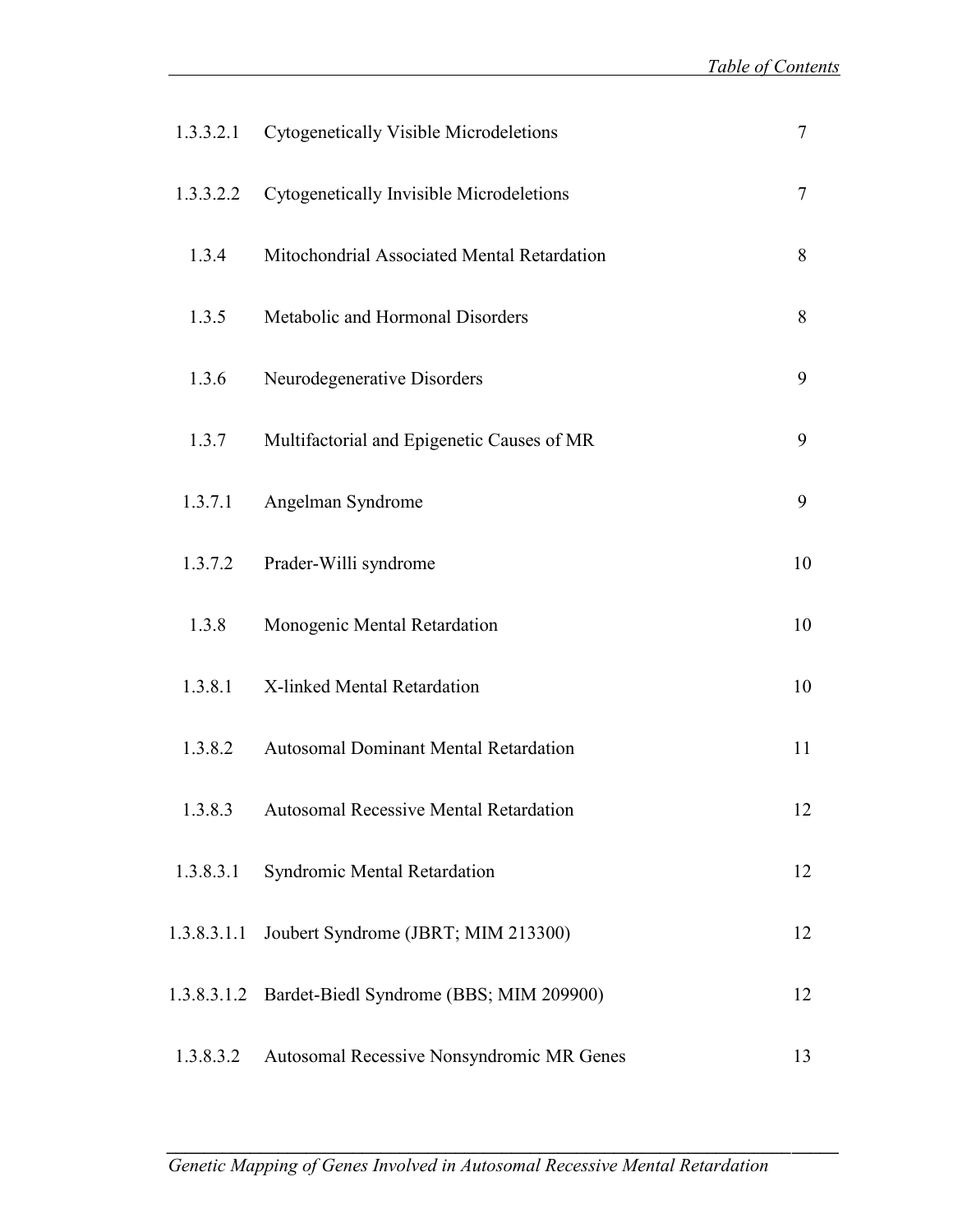| 1.3.3.2.1   | Cytogenetically Visible Microdeletions              | $\overline{7}$ |
|-------------|-----------------------------------------------------|----------------|
| 1.3.3.2.2   | Cytogenetically Invisible Microdeletions            | 7              |
| 1.3.4       | Mitochondrial Associated Mental Retardation         | 8              |
| 1.3.5       | Metabolic and Hormonal Disorders                    | 8              |
| 1.3.6       | Neurodegenerative Disorders                         | 9              |
| 1.3.7       | Multifactorial and Epigenetic Causes of MR          | 9              |
| 1.3.7.1     | Angelman Syndrome                                   | 9              |
| 1.3.7.2     | Prader-Willi syndrome                               | 10             |
| 1.3.8       | Monogenic Mental Retardation                        | 10             |
| 1.3.8.1     | X-linked Mental Retardation                         | 10             |
| 1.3.8.2     | <b>Autosomal Dominant Mental Retardation</b>        | 11             |
| 1.3.8.3     | <b>Autosomal Recessive Mental Retardation</b>       | 12             |
| 1.3.8.3.1   | Syndromic Mental Retardation                        | 12             |
| 1.3.8.3.1.1 | Joubert Syndrome (JBRT; MIM 213300)                 | 12             |
|             | 1.3.8.3.1.2 Bardet-Biedl Syndrome (BBS; MIM 209900) | 12             |
| 1.3.8.3.2   | Autosomal Recessive Nonsyndromic MR Genes           | 13             |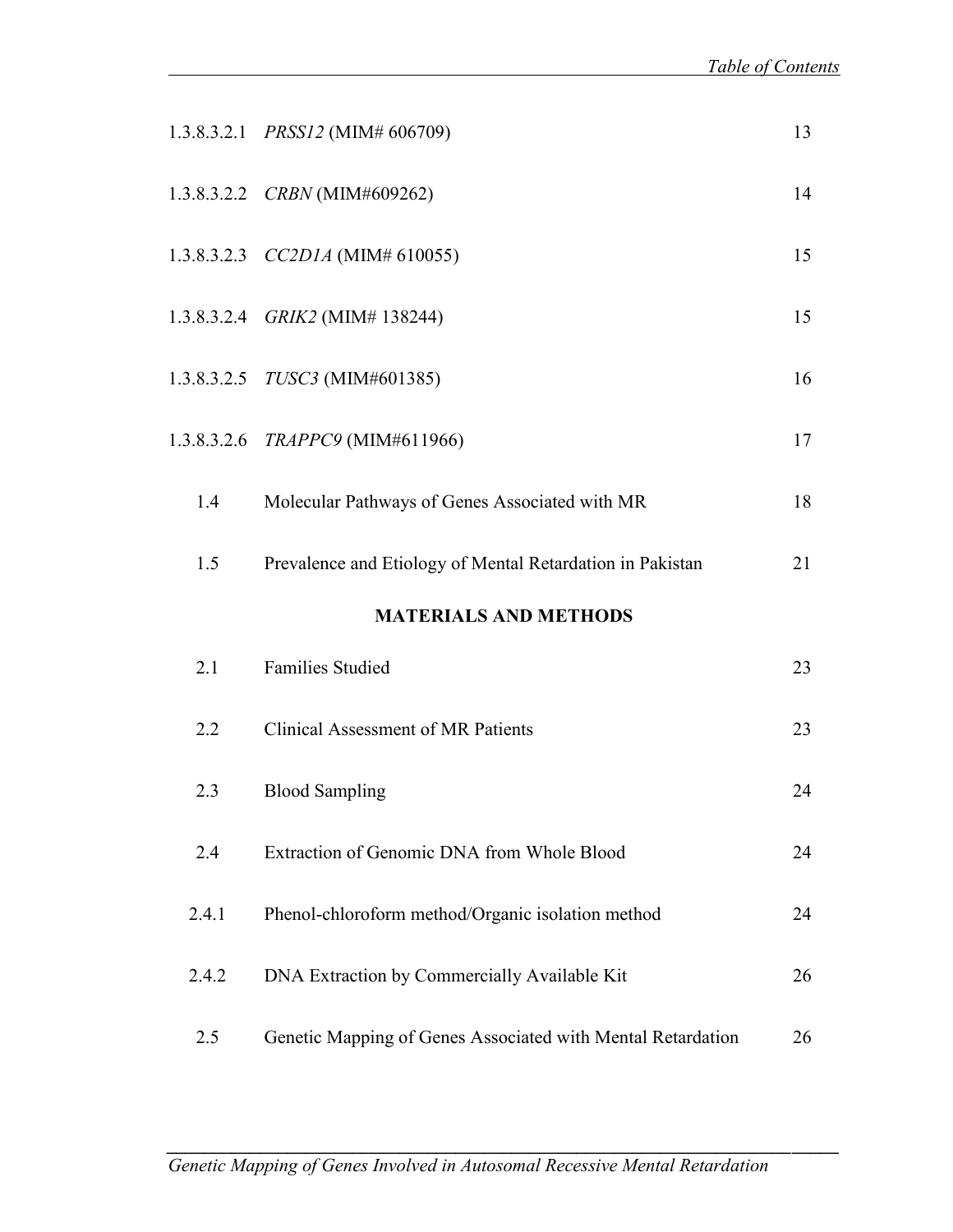|       | 1.3.8.3.2.1 PRSS12 (MIM# 606709)                            | 13 |
|-------|-------------------------------------------------------------|----|
|       | 1.3.8.3.2.2 CRBN (MIM#609262)                               | 14 |
|       | 1.3.8.3.2.3 $CC2D1A$ (MIM# 610055)                          | 15 |
|       | 1.3.8.3.2.4 GRIK2 (MIM# 138244)                             | 15 |
|       | 1.3.8.3.2.5 TUSC3 (MIM#601385)                              | 16 |
|       | 1.3.8.3.2.6 TRAPPC9 (MIM#611966)                            | 17 |
| 1.4   | Molecular Pathways of Genes Associated with MR              | 18 |
| 1.5   | Prevalence and Etiology of Mental Retardation in Pakistan   | 21 |
|       | <b>MATERIALS AND METHODS</b>                                |    |
| 2.1   | <b>Families Studied</b>                                     | 23 |
| 2.2   | Clinical Assessment of MR Patients                          | 23 |
| 2.3   | <b>Blood Sampling</b>                                       | 24 |
| 2.4   | Extraction of Genomic DNA from Whole Blood                  | 24 |
| 2.4.1 | Phenol-chloroform method/Organic isolation method           | 24 |
| 2.4.2 | DNA Extraction by Commercially Available Kit                | 26 |
| 2.5   | Genetic Mapping of Genes Associated with Mental Retardation | 26 |

*\_\_\_\_\_\_\_\_\_\_\_\_\_\_\_\_\_\_\_\_\_\_\_\_\_\_\_\_\_\_\_\_\_\_\_\_\_\_\_\_\_\_\_\_\_\_\_\_\_\_\_\_\_\_\_\_\_\_\_\_\_\_\_\_\_\_\_\_\_\_\_\_*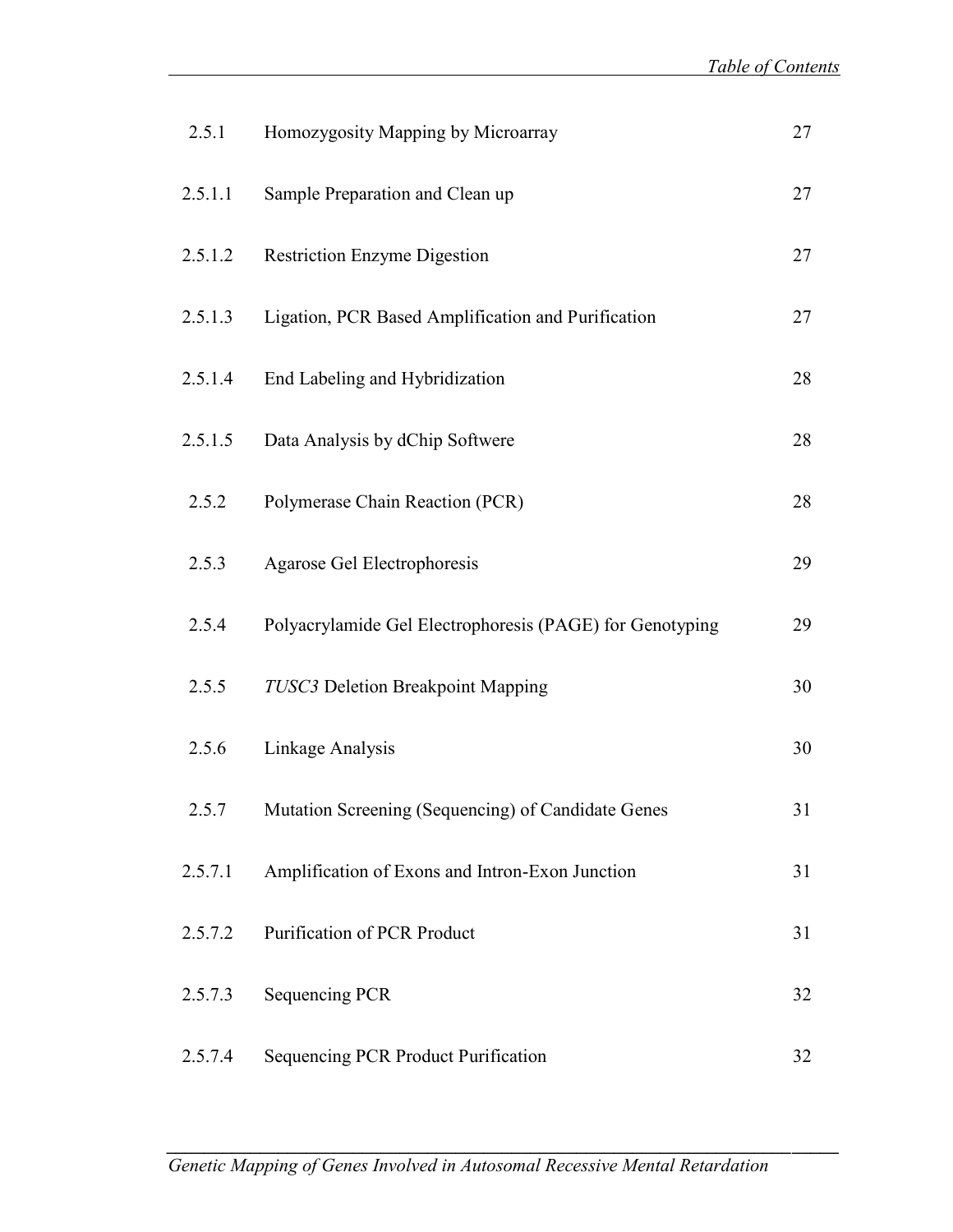| 2.5.1   | Homozygosity Mapping by Microarray                       | 27 |
|---------|----------------------------------------------------------|----|
| 2.5.1.1 | Sample Preparation and Clean up                          | 27 |
| 2.5.1.2 | <b>Restriction Enzyme Digestion</b>                      | 27 |
| 2.5.1.3 | Ligation, PCR Based Amplification and Purification       | 27 |
| 2.5.1.4 | End Labeling and Hybridization                           | 28 |
| 2.5.1.5 | Data Analysis by dChip Softwere                          | 28 |
| 2.5.2   | Polymerase Chain Reaction (PCR)                          | 28 |
| 2.5.3   | Agarose Gel Electrophoresis                              | 29 |
| 2.5.4   | Polyacrylamide Gel Electrophoresis (PAGE) for Genotyping | 29 |
| 2.5.5   | TUSC3 Deletion Breakpoint Mapping                        | 30 |
| 2.5.6   | Linkage Analysis                                         | 30 |
| 2.5.7   | Mutation Screening (Sequencing) of Candidate Genes       | 31 |
| 2.5.7.1 | Amplification of Exons and Intron-Exon Junction          | 31 |
| 2.5.7.2 | <b>Purification of PCR Product</b>                       | 31 |
| 2.5.7.3 | <b>Sequencing PCR</b>                                    | 32 |
| 2.5.7.4 | Sequencing PCR Product Purification                      | 32 |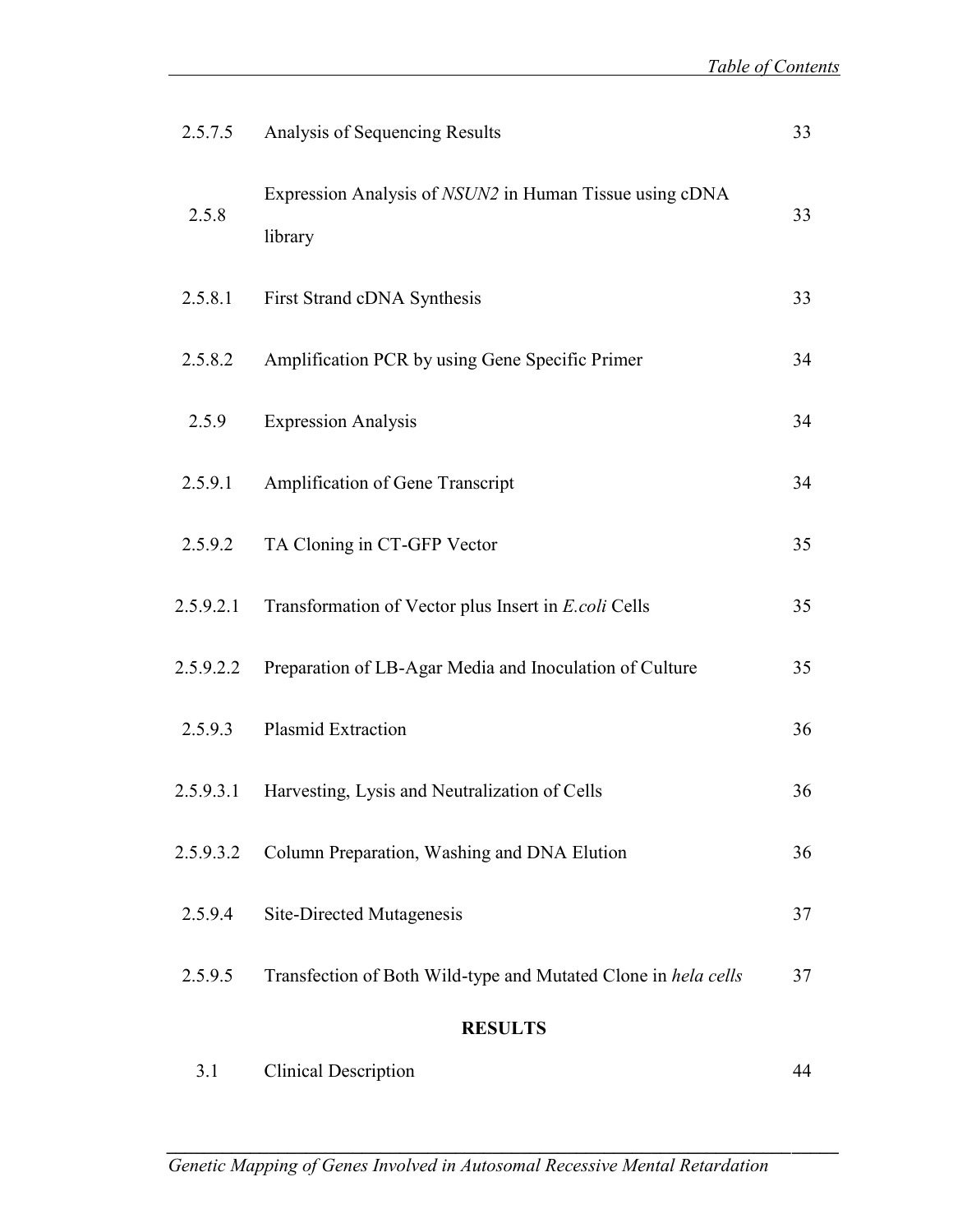| 2.5.7.5   | Analysis of Sequencing Results                                     | 33 |
|-----------|--------------------------------------------------------------------|----|
| 2.5.8     | Expression Analysis of NSUN2 in Human Tissue using cDNA<br>library | 33 |
| 2.5.8.1   | First Strand cDNA Synthesis                                        | 33 |
| 2.5.8.2   | Amplification PCR by using Gene Specific Primer                    | 34 |
| 2.5.9     | <b>Expression Analysis</b>                                         | 34 |
| 2.5.9.1   | Amplification of Gene Transcript                                   | 34 |
| 2.5.9.2   | TA Cloning in CT-GFP Vector                                        | 35 |
| 2.5.9.2.1 | Transformation of Vector plus Insert in E.coli Cells               | 35 |
| 2.5.9.2.2 | Preparation of LB-Agar Media and Inoculation of Culture            | 35 |
| 2.5.9.3   | Plasmid Extraction                                                 | 36 |
| 2.5.9.3.1 | Harvesting, Lysis and Neutralization of Cells                      | 36 |
| 2.5.9.3.2 | Column Preparation, Washing and DNA Elution                        | 36 |
| 2.5.9.4   | Site-Directed Mutagenesis                                          | 37 |
| 2.5.9.5   | Transfection of Both Wild-type and Mutated Clone in hela cells     | 37 |
|           | <b>RESULTS</b>                                                     |    |
| 3.1       | <b>Clinical Description</b>                                        | 44 |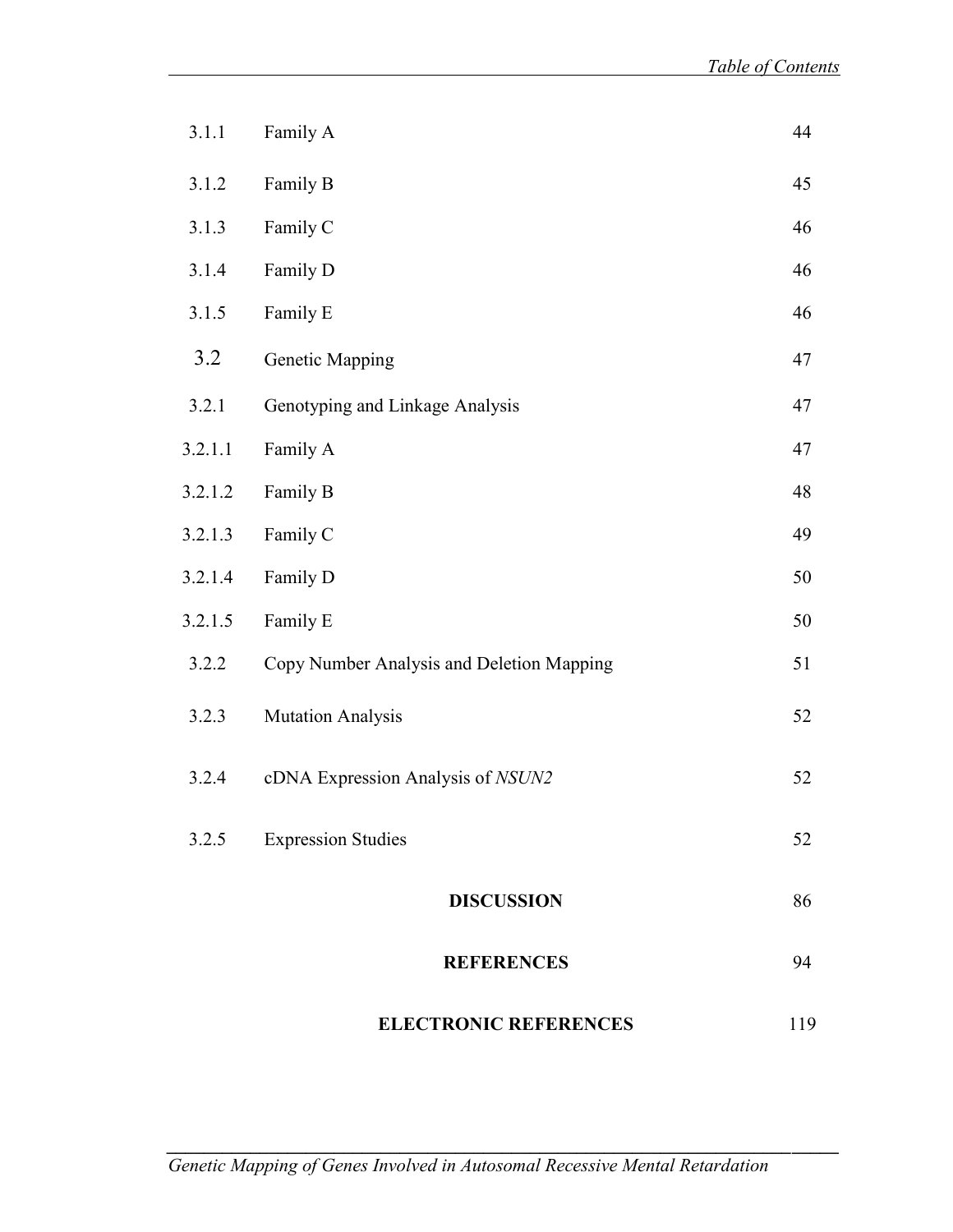| 3.1.1   | Family A                                  | 44  |
|---------|-------------------------------------------|-----|
| 3.1.2   | Family B                                  | 45  |
| 3.1.3   | Family C                                  | 46  |
| 3.1.4   | Family D                                  | 46  |
| 3.1.5   | Family E                                  | 46  |
| 3.2     | Genetic Mapping                           | 47  |
| 3.2.1   | Genotyping and Linkage Analysis           | 47  |
| 3.2.1.1 | Family A                                  | 47  |
| 3.2.1.2 | Family B                                  | 48  |
| 3.2.1.3 | Family C                                  | 49  |
| 3.2.1.4 | Family D                                  | 50  |
| 3.2.1.5 | Family E                                  | 50  |
| 3.2.2   | Copy Number Analysis and Deletion Mapping | 51  |
| 3.2.3   | <b>Mutation Analysis</b>                  | 52  |
| 3.2.4   | cDNA Expression Analysis of NSUN2         | 52  |
| 3.2.5   | <b>Expression Studies</b>                 | 52  |
|         | <b>DISCUSSION</b>                         | 86  |
|         | <b>REFERENCES</b>                         | 94  |
|         | <b>ELECTRONIC REFERENCES</b>              | 119 |

*\_\_\_\_\_\_\_\_\_\_\_\_\_\_\_\_\_\_\_\_\_\_\_\_\_\_\_\_\_\_\_\_\_\_\_\_\_\_\_\_\_\_\_\_\_\_\_\_\_\_\_\_\_\_\_\_\_\_\_\_\_\_\_\_\_\_\_\_\_\_\_\_*